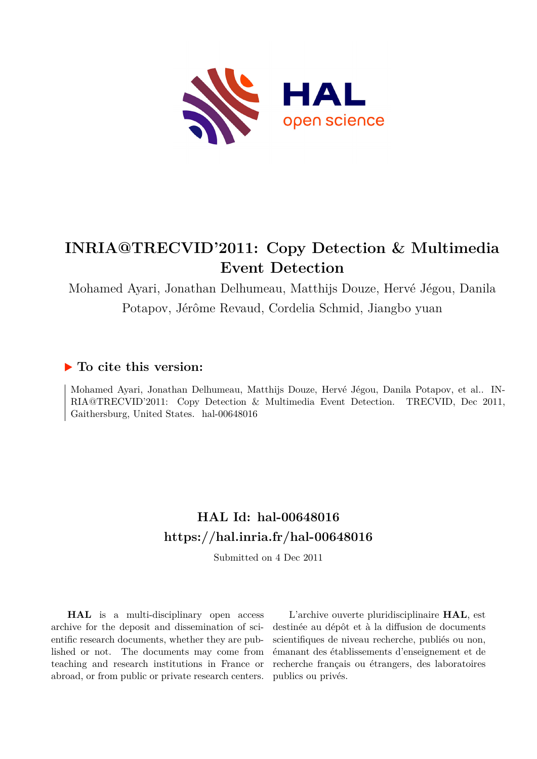

# **INRIA@TRECVID'2011: Copy Detection & Multimedia Event Detection**

Mohamed Ayari, Jonathan Delhumeau, Matthijs Douze, Hervé Jégou, Danila Potapov, Jérôme Revaud, Cordelia Schmid, Jiangbo yuan

# **To cite this version:**

Mohamed Ayari, Jonathan Delhumeau, Matthijs Douze, Hervé Jégou, Danila Potapov, et al.. IN-RIA@TRECVID'2011: Copy Detection & Multimedia Event Detection. TRECVID, Dec 2011, Gaithersburg, United States. hal-00648016

# **HAL Id: hal-00648016 <https://hal.inria.fr/hal-00648016>**

Submitted on 4 Dec 2011

**HAL** is a multi-disciplinary open access archive for the deposit and dissemination of scientific research documents, whether they are published or not. The documents may come from teaching and research institutions in France or abroad, or from public or private research centers.

L'archive ouverte pluridisciplinaire **HAL**, est destinée au dépôt et à la diffusion de documents scientifiques de niveau recherche, publiés ou non, émanant des établissements d'enseignement et de recherche français ou étrangers, des laboratoires publics ou privés.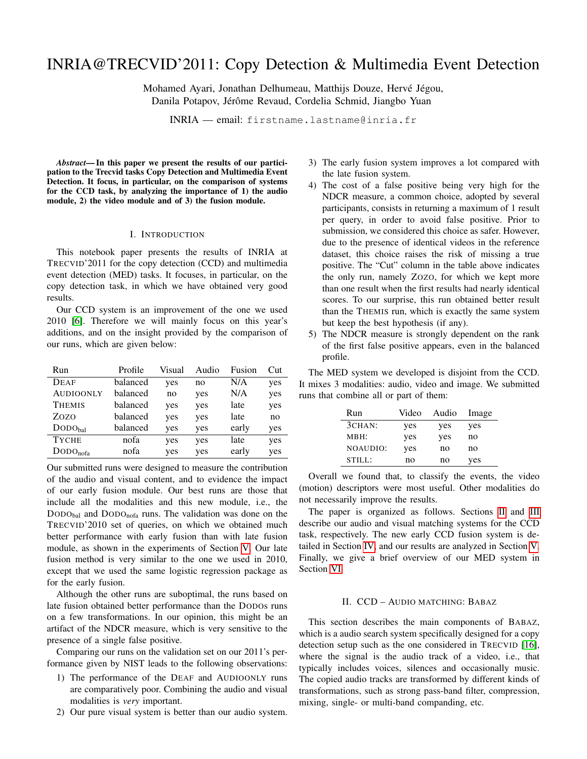# INRIA@TRECVID'2011: Copy Detection & Multimedia Event Detection

Mohamed Ayari, Jonathan Delhumeau, Matthijs Douze, Hervé Jégou, Danila Potapov, Jérôme Revaud, Cordelia Schmid, Jiangbo Yuan

INRIA — email: firstname.lastname@inria.fr

*Abstract*— In this paper we present the results of our participation to the Trecvid tasks Copy Detection and Multimedia Event Detection. It focus, in particular, on the comparison of systems for the CCD task, by analyzing the importance of 1) the audio module, 2) the video module and of 3) the fusion module.

#### I. INTRODUCTION

This notebook paper presents the results of INRIA at TRECVID'2011 for the copy detection (CCD) and multimedia event detection (MED) tasks. It focuses, in particular, on the copy detection task, in which we have obtained very good results.

Our CCD system is an improvement of the one we used 2010 [\[6\]](#page-9-0). Therefore we will mainly focus on this year's additions, and on the insight provided by the comparison of our runs, which are given below:

| Run                         | Profile  | Visual | Audio | Fusion | Cut |
|-----------------------------|----------|--------|-------|--------|-----|
| <b>DEAF</b>                 | balanced | yes    | no    | N/A    | yes |
| <b>AUDIOONLY</b>            | balanced | no     | yes   | N/A    | yes |
| <b>THEMIS</b>               | balanced | yes    | yes   | late   | yes |
| Zozo                        | balanced | yes    | yes   | late   | no  |
| $\text{DODO}_{\text{bal}}$  | balanced | yes    | yes   | early  | yes |
| <b>TYCHE</b>                | nofa     | yes    | yes   | late   | yes |
| $\text{DODO}_{\text{nofa}}$ | nofa     | yes    | yes   | early  | yes |

Our submitted runs were designed to measure the contribution of the audio and visual content, and to evidence the impact of our early fusion module. Our best runs are those that include all the modalities and this new module, i.e., the DODO<sub>bal</sub> and DODO<sub>nofa</sub> runs. The validation was done on the TRECVID'2010 set of queries, on which we obtained much better performance with early fusion than with late fusion module, as shown in the experiments of Section [V.](#page-6-0) Our late fusion method is very similar to the one we used in 2010, except that we used the same logistic regression package as for the early fusion.

Although the other runs are suboptimal, the runs based on late fusion obtained better performance than the DODOs runs on a few transformations. In our opinion, this might be an artifact of the NDCR measure, which is very sensitive to the presence of a single false positive.

Comparing our runs on the validation set on our 2011's performance given by NIST leads to the following observations:

- 1) The performance of the DEAF and AUDIOONLY runs are comparatively poor. Combining the audio and visual modalities is *very* important.
- 2) Our pure visual system is better than our audio system.
- 3) The early fusion system improves a lot compared with the late fusion system.
- 4) The cost of a false positive being very high for the NDCR measure, a common choice, adopted by several participants, consists in returning a maximum of 1 result per query, in order to avoid false positive. Prior to submission, we considered this choice as safer. However, due to the presence of identical videos in the reference dataset, this choice raises the risk of missing a true positive. The "Cut" column in the table above indicates the only run, namely ZOZO, for which we kept more than one result when the first results had nearly identical scores. To our surprise, this run obtained better result than the THEMIS run, which is exactly the same system but keep the best hypothesis (if any).
- 5) The NDCR measure is strongly dependent on the rank of the first false positive appears, even in the balanced profile.

The MED system we developed is disjoint from the CCD. It mixes 3 modalities: audio, video and image. We submitted runs that combine all or part of them:

| Run       | Video | Audio | Image |
|-----------|-------|-------|-------|
| $3CHAN$ : | yes   | yes   | yes   |
| MBH:      | yes   | yes   | no    |
| NOAUDIO:  | yes   | no    | no    |
| STILL:    | no    | no    | yes   |

Overall we found that, to classify the events, the video (motion) descriptors were most useful. Other modalities do not necessarily improve the results.

The paper is organized as follows. Sections [II](#page-1-0) and [III](#page-4-0) describe our audio and visual matching systems for the CCD task, respectively. The new early CCD fusion system is detailed in Section [IV,](#page-4-1) and our results are analyzed in Section [V.](#page-6-0) Finally, we give a brief overview of our MED system in Section [VI.](#page-8-0)

# II. CCD – AUDIO MATCHING: BABAZ

<span id="page-1-0"></span>This section describes the main components of BABAZ, which is a audio search system specifically designed for a copy detection setup such as the one considered in TRECVID [\[16\]](#page-9-1), where the signal is the audio track of a video, i.e., that typically includes voices, silences and occasionally music. The copied audio tracks are transformed by different kinds of transformations, such as strong pass-band filter, compression, mixing, single- or multi-band companding, etc.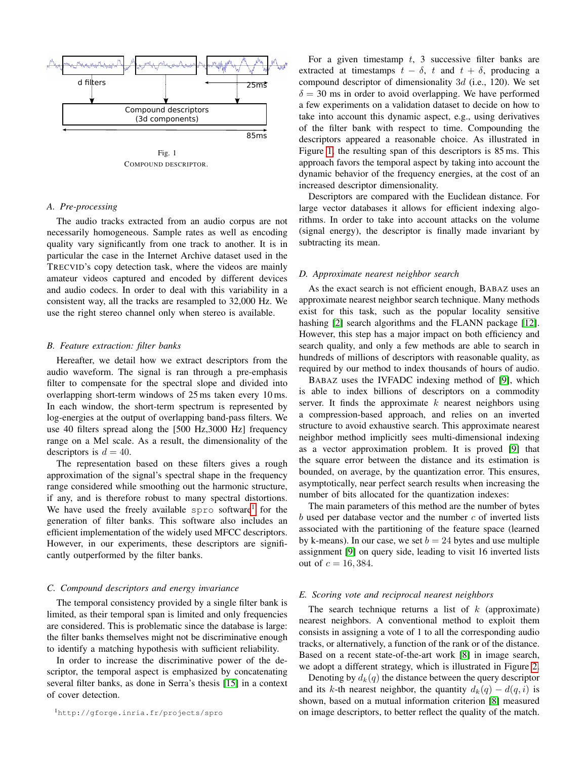

Fig. 1 COMPOUND DESCRIPTOR.

## <span id="page-2-1"></span>*A. Pre-processing*

The audio tracks extracted from an audio corpus are not necessarily homogeneous. Sample rates as well as encoding quality vary significantly from one track to another. It is in particular the case in the Internet Archive dataset used in the TRECVID's copy detection task, where the videos are mainly amateur videos captured and encoded by different devices and audio codecs. In order to deal with this variability in a consistent way, all the tracks are resampled to 32,000 Hz. We use the right stereo channel only when stereo is available.

#### *B. Feature extraction: filter banks*

Hereafter, we detail how we extract descriptors from the audio waveform. The signal is ran through a pre-emphasis filter to compensate for the spectral slope and divided into overlapping short-term windows of 25 ms taken every 10 ms. In each window, the short-term spectrum is represented by log-energies at the output of overlapping band-pass filters. We use 40 filters spread along the [500 Hz,3000 Hz] frequency range on a Mel scale. As a result, the dimensionality of the descriptors is  $d = 40$ .

The representation based on these filters gives a rough approximation of the signal's spectral shape in the frequency range considered while smoothing out the harmonic structure, if any, and is therefore robust to many spectral distortions. We have used the freely available spro software<sup>[1](#page-2-0)</sup> for the generation of filter banks. This software also includes an efficient implementation of the widely used MFCC descriptors. However, in our experiments, these descriptors are significantly outperformed by the filter banks.

### *C. Compound descriptors and energy invariance*

The temporal consistency provided by a single filter bank is limited, as their temporal span is limited and only frequencies are considered. This is problematic since the database is large: the filter banks themselves might not be discriminative enough to identify a matching hypothesis with sufficient reliability.

<span id="page-2-0"></span>In order to increase the discriminative power of the descriptor, the temporal aspect is emphasized by concatenating several filter banks, as done in Serra's thesis [\[15\]](#page-9-2) in a context of cover detection.

For a given timestamp  $t$ , 3 successive filter banks are extracted at timestamps  $t - \delta$ , t and  $t + \delta$ , producing a compound descriptor of dimensionality  $3d$  (i.e., 120). We set  $\delta = 30$  ms in order to avoid overlapping. We have performed a few experiments on a validation dataset to decide on how to take into account this dynamic aspect, e.g., using derivatives of the filter bank with respect to time. Compounding the descriptors appeared a reasonable choice. As illustrated in Figure [1,](#page-2-1) the resulting span of this descriptors is 85 ms. This approach favors the temporal aspect by taking into account the dynamic behavior of the frequency energies, at the cost of an increased descriptor dimensionality.

Descriptors are compared with the Euclidean distance. For large vector databases it allows for efficient indexing algorithms. In order to take into account attacks on the volume (signal energy), the descriptor is finally made invariant by subtracting its mean.

#### *D. Approximate nearest neighbor search*

As the exact search is not efficient enough, BABAZ uses an approximate nearest neighbor search technique. Many methods exist for this task, such as the popular locality sensitive hashing [\[2\]](#page-9-3) search algorithms and the FLANN package [\[12\]](#page-9-4). However, this step has a major impact on both efficiency and search quality, and only a few methods are able to search in hundreds of millions of descriptors with reasonable quality, as required by our method to index thousands of hours of audio.

BABAZ uses the IVFADC indexing method of [\[9\]](#page-9-5), which is able to index billions of descriptors on a commodity server. It finds the approximate  $k$  nearest neighbors using a compression-based approach, and relies on an inverted structure to avoid exhaustive search. This approximate nearest neighbor method implicitly sees multi-dimensional indexing as a vector approximation problem. It is proved [\[9\]](#page-9-5) that the square error between the distance and its estimation is bounded, on average, by the quantization error. This ensures, asymptotically, near perfect search results when increasing the number of bits allocated for the quantization indexes:

The main parameters of this method are the number of bytes  $b$  used per database vector and the number  $c$  of inverted lists associated with the partitioning of the feature space (learned by k-means). In our case, we set  $b = 24$  bytes and use multiple assignment [\[9\]](#page-9-5) on query side, leading to visit 16 inverted lists out of  $c = 16, 384$ .

#### *E. Scoring vote and reciprocal nearest neighbors*

The search technique returns a list of  $k$  (approximate) nearest neighbors. A conventional method to exploit them consists in assigning a vote of 1 to all the corresponding audio tracks, or alternatively, a function of the rank or of the distance. Based on a recent state-of-the-art work [\[8\]](#page-9-6) in image search, we adopt a different strategy, which is illustrated in Figure [2.](#page-3-0)

Denoting by  $d_k(q)$  the distance between the query descriptor and its k-th nearest neighbor, the quantity  $d_k(q) - d(q, i)$  is shown, based on a mutual information criterion [\[8\]](#page-9-6) measured on image descriptors, to better reflect the quality of the match.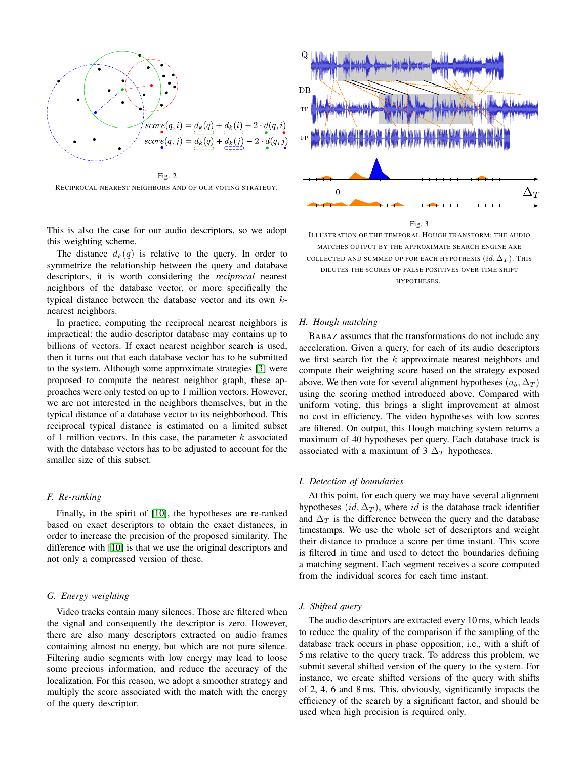

<span id="page-3-0"></span>RECIPROCAL NEAREST NEIGHBORS AND OF OUR VOTING STRATEGY.

This is also the case for our audio descriptors, so we adopt this weighting scheme.

The distance  $d_k(q)$  is relative to the query. In order to symmetrize the relationship between the query and database descriptors, it is worth considering the *reciprocal* nearest neighbors of the database vector, or more specifically the typical distance between the database vector and its own knearest neighbors.

In practice, computing the reciprocal nearest neighbors is impractical: the audio descriptor database may contains up to billions of vectors. If exact nearest neighbor search is used, then it turns out that each database vector has to be submitted to the system. Although some approximate strategies [\[3\]](#page-9-7) were proposed to compute the nearest neighbor graph, these approaches were only tested on up to 1 million vectors. However, we are not interested in the neighbors themselves, but in the typical distance of a database vector to its neighborhood. This reciprocal typical distance is estimated on a limited subset of 1 million vectors. In this case, the parameter  $k$  associated with the database vectors has to be adjusted to account for the smaller size of this subset.

#### *F. Re-ranking*

Finally, in the spirit of [\[10\]](#page-9-8), the hypotheses are re-ranked based on exact descriptors to obtain the exact distances, in order to increase the precision of the proposed similarity. The difference with [\[10\]](#page-9-8) is that we use the original descriptors and not only a compressed version of these.

# *G. Energy weighting*

Video tracks contain many silences. Those are filtered when the signal and consequently the descriptor is zero. However, there are also many descriptors extracted on audio frames containing almost no energy, but which are not pure silence. Filtering audio segments with low energy may lead to loose some precious information, and reduce the accuracy of the localization. For this reason, we adopt a smoother strategy and multiply the score associated with the match with the energy of the query descriptor.



Fig. 3 ILLUSTRATION OF THE TEMPORAL HOUGH TRANSFORM: THE AUDIO MATCHES OUTPUT BY THE APPROXIMATE SEARCH ENGINE ARE COLLECTED AND SUMMED UP FOR EACH HYPOTHESIS  $(id, \Delta_T)$ . This DILUTES THE SCORES OF FALSE POSITIVES OVER TIME SHIFT HYPOTHESES.

## <span id="page-3-1"></span>*H. Hough matching*

BABAZ assumes that the transformations do not include any acceleration. Given a query, for each of its audio descriptors we first search for the  $k$  approximate nearest neighbors and compute their weighting score based on the strategy exposed above. We then vote for several alignment hypotheses  $(a_b, \Delta_T)$ using the scoring method introduced above. Compared with uniform voting, this brings a slight improvement at almost no cost in efficiency. The video hypotheses with low scores are filtered. On output, this Hough matching system returns a maximum of 40 hypotheses per query. Each database track is associated with a maximum of 3  $\Delta_T$  hypotheses.

# *I. Detection of boundaries*

At this point, for each query we may have several alignment hypotheses  $(id, \Delta_T)$ , where id is the database track identifier and  $\Delta_T$  is the difference between the query and the database timestamps. We use the whole set of descriptors and weight their distance to produce a score per time instant. This score is filtered in time and used to detect the boundaries defining a matching segment. Each segment receives a score computed from the individual scores for each time instant.

#### *J. Shifted query*

The audio descriptors are extracted every 10 ms, which leads to reduce the quality of the comparison if the sampling of the database track occurs in phase opposition, i.e., with a shift of 5 ms relative to the query track. To address this problem, we submit several shifted version of the query to the system. For instance, we create shifted versions of the query with shifts of 2, 4, 6 and 8 ms. This, obviously, significantly impacts the efficiency of the search by a significant factor, and should be used when high precision is required only.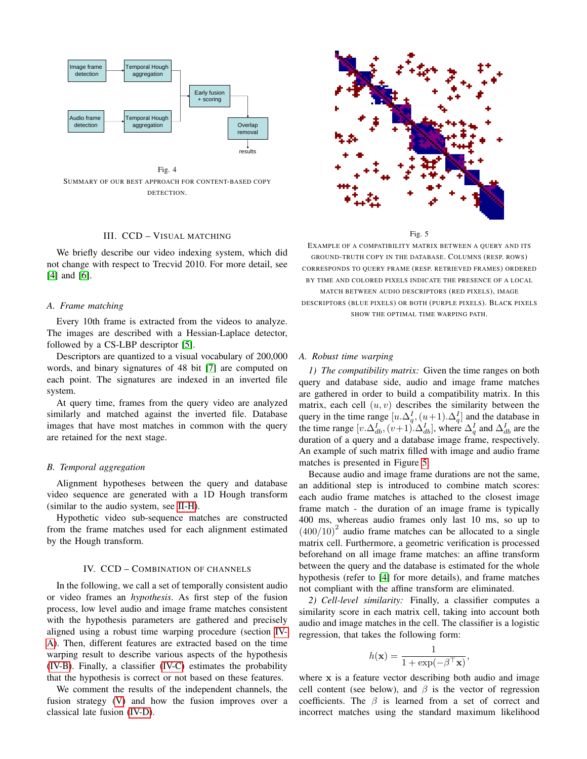

Fig. 4 SUMMARY OF OUR BEST APPROACH FOR CONTENT-BASED COPY DETECTION.

# III. CCD – VISUAL MATCHING

<span id="page-4-0"></span>We briefly describe our video indexing system, which did not change with respect to Trecvid 2010. For more detail, see [\[4\]](#page-9-9) and [\[6\]](#page-9-0).

# *A. Frame matching*

Every 10th frame is extracted from the videos to analyze. The images are described with a Hessian-Laplace detector, followed by a CS-LBP descriptor [\[5\]](#page-9-10).

Descriptors are quantized to a visual vocabulary of 200,000 words, and binary signatures of 48 bit [\[7\]](#page-9-11) are computed on each point. The signatures are indexed in an inverted file system.

At query time, frames from the query video are analyzed similarly and matched against the inverted file. Database images that have most matches in common with the query are retained for the next stage.

#### *B. Temporal aggregation*

Alignment hypotheses between the query and database video sequence are generated with a 1D Hough transform (similar to the audio system, see [II-H\)](#page-3-1).

Hypothetic video sub-sequence matches are constructed from the frame matches used for each alignment estimated by the Hough transform.

# IV. CCD – COMBINATION OF CHANNELS

<span id="page-4-1"></span>In the following, we call a set of temporally consistent audio or video frames an *hypothesis*. As first step of the fusion process, low level audio and image frame matches consistent with the hypothesis parameters are gathered and precisely aligned using a robust time warping procedure (section [IV-](#page-4-2)[A\)](#page-4-2). Then, different features are extracted based on the time warping result to describe various aspects of the hypothesis [\(IV-B\)](#page-5-0). Finally, a classifier [\(IV-C\)](#page-6-1) estimates the probability that the hypothesis is correct or not based on these features.

We comment the results of the independent channels, the fusion strategy [\(V\)](#page-6-0) and how the fusion improves over a classical late fusion [\(IV-D\)](#page-6-2).



Fig. 5

<span id="page-4-3"></span>EXAMPLE OF A COMPATIBILITY MATRIX BETWEEN A QUERY AND ITS GROUND-TRUTH COPY IN THE DATABASE. COLUMNS (RESP. ROWS) CORRESPONDS TO QUERY FRAME (RESP. RETRIEVED FRAMES) ORDERED BY TIME AND COLORED PIXELS INDICATE THE PRESENCE OF A LOCAL

MATCH BETWEEN AUDIO DESCRIPTORS (RED PIXELS), IMAGE DESCRIPTORS (BLUE PIXELS) OR BOTH (PURPLE PIXELS). BLACK PIXELS SHOW THE OPTIMAL TIME WARPING PATH.

#### <span id="page-4-2"></span>*A. Robust time warping*

*1) The compatibility matrix:* Given the time ranges on both query and database side, audio and image frame matches are gathered in order to build a compatibility matrix. In this matrix, each cell  $(u, v)$  describes the similarity between the query in the time range  $[u.\Delta_q^I,(u+1).\Delta_q^I]$  and the database in the time range  $[v.\Delta_{db}^I, (v+1).\Delta_{db}^I]$ , where  $\Delta_q^I$  and  $\Delta_{db}^I$  are the duration of a query and a database image frame, respectively. An example of such matrix filled with image and audio frame matches is presented in Figure [5.](#page-4-3)

Because audio and image frame durations are not the same, an additional step is introduced to combine match scores: each audio frame matches is attached to the closest image frame match - the duration of an image frame is typically 400 ms, whereas audio frames only last 10 ms, so up to  $(400/10)^2$  audio frame matches can be allocated to a single matrix cell. Furthermore, a geometric verification is processed beforehand on all image frame matches: an affine transform between the query and the database is estimated for the whole hypothesis (refer to [\[4\]](#page-9-9) for more details), and frame matches not compliant with the affine transform are eliminated.

*2) Cell-level similarity:* Finally, a classifier computes a similarity score in each matrix cell, taking into account both audio and image matches in the cell. The classifier is a logistic regression, that takes the following form:

$$
h(\mathbf{x}) = \frac{1}{1 + \exp(-\beta^{\top}\mathbf{x})},
$$

where x is a feature vector describing both audio and image cell content (see below), and  $\beta$  is the vector of regression coefficients. The  $\beta$  is learned from a set of correct and incorrect matches using the standard maximum likelihood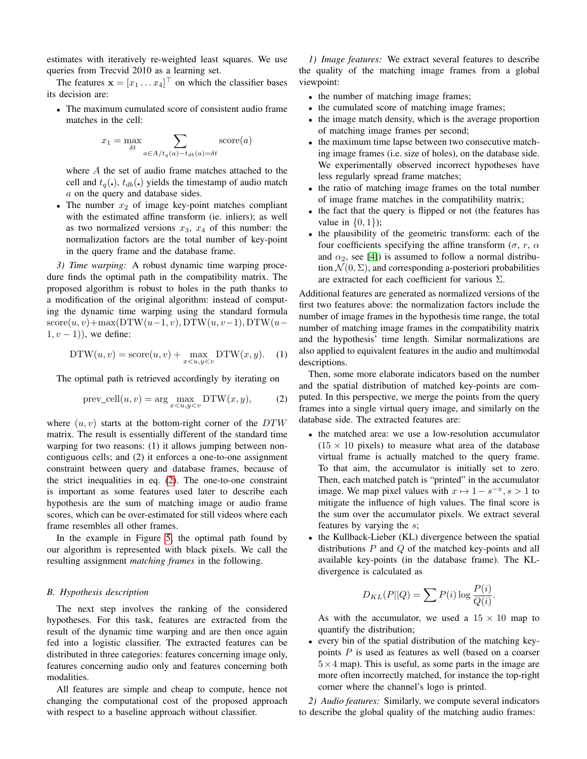estimates with iteratively re-weighted least squares. We use queries from Trecvid 2010 as a learning set.

The features  $\mathbf{x} = [x_1 \dots x_4]^\top$  on which the classifier bases its decision are:

• The maximum cumulated score of consistent audio frame matches in the cell:

$$
x_1 = \max_{\delta t} \sum_{a \in A/t_q(a) - t_{db}(a) = \delta t} \text{score}(a)
$$

where A the set of audio frame matches attached to the cell and  $t_q(.)$ ,  $t_{db}(.)$  yields the timestamp of audio match a on the query and database sides.

• The number  $x_2$  of image key-point matches compliant with the estimated affine transform (ie. inliers); as well as two normalized versions  $x_3$ ,  $x_4$  of this number: the normalization factors are the total number of key-point in the query frame and the database frame.

*3) Time warping:* A robust dynamic time warping procedure finds the optimal path in the compatibility matrix. The proposed algorithm is robust to holes in the path thanks to a modification of the original algorithm: instead of computing the dynamic time warping using the standard formula  $score(u, v) + max(DTW(u-1, v), DTW(u, v-1), DTW(u-1, v))$  $(1, v - 1)$ , we define:

$$
DTW(u, v) = score(u, v) + \max_{x < u, y < v} DTW(x, y). \tag{1}
$$

The optimal path is retrieved accordingly by iterating on

<span id="page-5-1"></span>
$$
prev\_cell(u, v) = \arg \max_{x < u, y < v} DTW(x, y), \tag{2}
$$

where  $(u, v)$  starts at the bottom-right corner of the  $DTW$ matrix. The result is essentially different of the standard time warping for two reasons: (1) it allows jumping between noncontiguous cells; and (2) it enforces a one-to-one assignment constraint between query and database frames, because of the strict inequalities in eq. [\(2\)](#page-5-1). The one-to-one constraint is important as some features used later to describe each hypothesis are the sum of matching image or audio frame scores, which can be over-estimated for still videos where each frame resembles all other frames.

In the example in Figure [5,](#page-4-3) the optimal path found by our algorithm is represented with black pixels. We call the resulting assignment *matching frames* in the following.

## <span id="page-5-0"></span>*B. Hypothesis description*

The next step involves the ranking of the considered hypotheses. For this task, features are extracted from the result of the dynamic time warping and are then once again fed into a logistic classifier. The extracted features can be distributed in three categories: features concerning image only, features concerning audio only and features concerning both modalities.

All features are simple and cheap to compute, hence not changing the computational cost of the proposed approach with respect to a baseline approach without classifier.

*1) Image features:* We extract several features to describe the quality of the matching image frames from a global viewpoint:

- the number of matching image frames;
- the cumulated score of matching image frames;
- the image match density, which is the average proportion of matching image frames per second;
- the maximum time lapse between two consecutive matching image frames (i.e. size of holes), on the database side. We experimentally observed incorrect hypotheses have less regularly spread frame matches;
- the ratio of matching image frames on the total number of image frame matches in the compatibility matrix;
- the fact that the query is flipped or not (the features has value in  $\{0, 1\}$ ;
- the plausibility of the geometric transform: each of the four coefficients specifying the affine transform ( $\sigma$ ,  $r$ ,  $\alpha$ and  $\alpha_2$ , see [\[4\]](#page-9-9)) is assumed to follow a normal distribution  $\mathcal{N}(0, \Sigma)$ , and corresponding a-posteriori probabilities are extracted for each coefficient for various  $\Sigma$ .

Additional features are generated as normalized versions of the first two features above: the normalization factors include the number of image frames in the hypothesis time range, the total number of matching image frames in the compatibility matrix and the hypothesis' time length. Similar normalizations are also applied to equivalent features in the audio and multimodal descriptions.

Then, some more elaborate indicators based on the number and the spatial distribution of matched key-points are computed. In this perspective, we merge the points from the query frames into a single virtual query image, and similarly on the database side. The extracted features are:

- the matched area: we use a low-resolution accumulator  $(15 \times 10)$  pixels) to measure what area of the database virtual frame is actually matched to the query frame. To that aim, the accumulator is initially set to zero. Then, each matched patch is "printed" in the accumulator image. We map pixel values with  $x \mapsto 1 - s^{-x}, s > 1$  to mitigate the influence of high values. The final score is the sum over the accumulator pixels. We extract several features by varying the s;
- the Kullback-Lieber (KL) divergence between the spatial distributions  $P$  and  $Q$  of the matched key-points and all available key-points (in the database frame). The KLdivergence is calculated as

$$
D_{KL}(P||Q) = \sum P(i) \log \frac{P(i)}{Q(i)}.
$$

As with the accumulator, we used a  $15 \times 10$  map to quantify the distribution;

• every bin of the spatial distribution of the matching keypoints P is used as features as well (based on a coarser  $5 \times 4$  map). This is useful, as some parts in the image are more often incorrectly matched, for instance the top-right corner where the channel's logo is printed.

*2) Audio features:* Similarly, we compute several indicators to describe the global quality of the matching audio frames: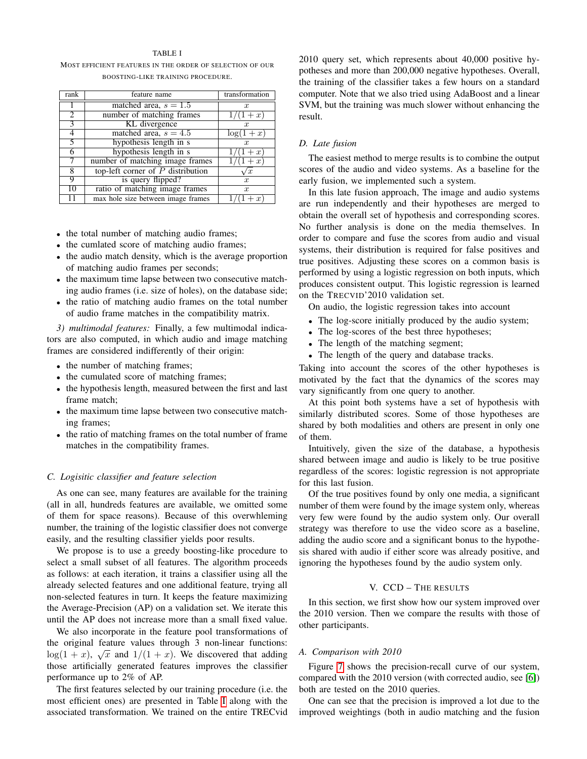### TABLE I

<span id="page-6-3"></span>MOST EFFICIENT FEATURES IN THE ORDER OF SELECTION OF OUR BOOSTING-LIKE TRAINING PROCEDURE.

| rank                     | feature name                        | transformation   |
|--------------------------|-------------------------------------|------------------|
|                          | matched area, $s = 1.5$             | $\boldsymbol{x}$ |
| $\overline{2}$           | number of matching frames           | $1/(1+x)$        |
| $\overline{\mathcal{E}}$ | KL divergence                       | $\boldsymbol{x}$ |
| 4                        | matched area, $s = 4.5$             | $\log(1+x)$      |
|                          | hypothesis length in s              | $\boldsymbol{x}$ |
| 6                        | hypothesis length in s              | $/(1 + x)$       |
| 7                        | number of matching image frames     | $/(1+x)$         |
| 8                        | top-left corner of $P$ distribution | $\sqrt{x}$       |
| q                        | is query flipped?                   | $\boldsymbol{x}$ |
| 10                       | ratio of matching image frames      | $\boldsymbol{x}$ |
|                          | max hole size between image frames  | $\boldsymbol{x}$ |

- the total number of matching audio frames;
- the cumlated score of matching audio frames;
- the audio match density, which is the average proportion of matching audio frames per seconds;
- the maximum time lapse between two consecutive matching audio frames (i.e. size of holes), on the database side;
- the ratio of matching audio frames on the total number of audio frame matches in the compatibility matrix.

*3) multimodal features:* Finally, a few multimodal indicators are also computed, in which audio and image matching frames are considered indifferently of their origin:

- the number of matching frames;
- the cumulated score of matching frames;
- the hypothesis length, measured between the first and last frame match;
- the maximum time lapse between two consecutive matching frames;
- the ratio of matching frames on the total number of frame matches in the compatibility frames.

# <span id="page-6-1"></span>*C. Logisitic classifier and feature selection*

As one can see, many features are available for the training (all in all, hundreds features are available, we omitted some of them for space reasons). Because of this overwhleming number, the training of the logistic classifier does not converge easily, and the resulting classifier yields poor results.

We propose is to use a greedy boosting-like procedure to select a small subset of all features. The algorithm proceeds as follows: at each iteration, it trains a classifier using all the already selected features and one additional feature, trying all non-selected features in turn. It keeps the feature maximizing the Average-Precision (AP) on a validation set. We iterate this until the AP does not increase more than a small fixed value.

We also incorporate in the feature pool transformations of the original feature values through 3 non-linear functions:  $\log(1 + x)$ ,  $\sqrt{x}$  and  $1/(1 + x)$ . We discovered that adding those artificially generated features improves the classifier performance up to 2% of AP.

The first features selected by our training procedure (i.e. the most efficient ones) are presented in Table [I](#page-6-3) along with the associated transformation. We trained on the entire TRECvid 2010 query set, which represents about 40,000 positive hypotheses and more than 200,000 negative hypotheses. Overall, the training of the classifier takes a few hours on a standard computer. Note that we also tried using AdaBoost and a linear SVM, but the training was much slower without enhancing the result.

# <span id="page-6-2"></span>*D. Late fusion*

The easiest method to merge results is to combine the output scores of the audio and video systems. As a baseline for the early fusion, we implemented such a system.

In this late fusion approach, The image and audio systems are run independently and their hypotheses are merged to obtain the overall set of hypothesis and corresponding scores. No further analysis is done on the media themselves. In order to compare and fuse the scores from audio and visual systems, their distribution is required for false positives and true positives. Adjusting these scores on a common basis is performed by using a logistic regression on both inputs, which produces consistent output. This logistic regression is learned on the TRECVID'2010 validation set.

On audio, the logistic regression takes into account

- The log-score initially produced by the audio system;
- The log-scores of the best three hypotheses;
- The length of the matching segment;
- The length of the query and database tracks.

Taking into account the scores of the other hypotheses is motivated by the fact that the dynamics of the scores may vary significantly from one query to another.

At this point both systems have a set of hypothesis with similarly distributed scores. Some of those hypotheses are shared by both modalities and others are present in only one of them.

Intuitively, given the size of the database, a hypothesis shared between image and audio is likely to be true positive regardless of the scores: logistic regression is not appropriate for this last fusion.

Of the true positives found by only one media, a significant number of them were found by the image system only, whereas very few were found by the audio system only. Our overall strategy was therefore to use the video score as a baseline, adding the audio score and a significant bonus to the hypothesis shared with audio if either score was already positive, and ignoring the hypotheses found by the audio system only.

#### V. CCD – THE RESULTS

<span id="page-6-0"></span>In this section, we first show how our system improved over the 2010 version. Then we compare the results with those of other participants.

#### *A. Comparison with 2010*

Figure [7](#page-7-0) shows the precision-recall curve of our system, compared with the 2010 version (with corrected audio, see [\[6\]](#page-9-0)) both are tested on the 2010 queries.

One can see that the precision is improved a lot due to the improved weightings (both in audio matching and the fusion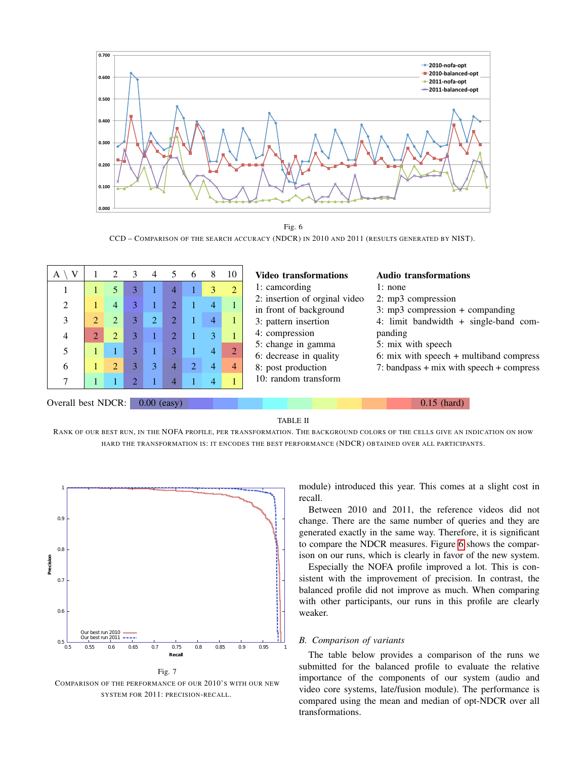

Fig. 6 CCD – COMPARISON OF THE SEARCH ACCURACY (NDCR) IN 2010 AND 2011 (RESULTS GENERATED BY NIST).

<span id="page-7-1"></span>

| V<br>A                      | $\mathcal{D}_{\mathcal{L}}$ | $\mathcal{R}$ | 4              |               | h.                          | 8 | 10             | <b>Video transformations</b>                            | <b>Audio transformations</b>                                    |
|-----------------------------|-----------------------------|---------------|----------------|---------------|-----------------------------|---|----------------|---------------------------------------------------------|-----------------------------------------------------------------|
|                             | 5                           | 3             |                | 4             |                             | 3 | $\overline{2}$ | 1: camcording                                           | 1: none                                                         |
| $\mathcal{D}_{\mathcal{L}}$ | $\overline{4}$              |               |                |               |                             | 4 |                | 2: insertion of orginal video<br>in front of background | 2: mp3 compression<br>$3: mp3$ compression + companding         |
| 3                           | $\overline{2}$              |               | $\overline{2}$ | $\mathcal{D}$ |                             | 4 |                | 3: pattern insertion                                    | 4: limit bandwidth $+$ single-band com-                         |
| $\overline{4}$              | $\overline{2}$              |               |                | $\mathcal{D}$ |                             | 3 |                | 4: compression                                          | panding                                                         |
|                             |                             | 3             |                | 3             |                             | 4 | $\overline{2}$ | 5: change in gamma<br>6: decrease in quality            | 5: mix with speech<br>6: mix with speech $+$ multiband compress |
| 6                           | $\overline{2}$              |               | 3              | 4             | $\mathcal{D}_{\mathcal{L}}$ | 4 | 4              | 8: post production                                      | 7: bandpass $+$ mix with speech $+$ compress                    |
|                             |                             |               |                |               |                             | 4 |                | 10: random transform                                    |                                                                 |
| Overall best NDCR:          |                             |               |                | $0.00$ (easy) |                             |   |                |                                                         | $0.15$ (hard)                                                   |

TABLE II

<span id="page-7-2"></span>RANK OF OUR BEST RUN, IN THE NOFA PROFILE, PER TRANSFORMATION. THE BACKGROUND COLORS OF THE CELLS GIVE AN INDICATION ON HOW HARD THE TRANSFORMATION IS: IT ENCODES THE BEST PERFORMANCE (NDCR) OBTAINED OVER ALL PARTICIPANTS.



<span id="page-7-0"></span>Fig. 7 COMPARISON OF THE PERFORMANCE OF OUR 2010'S WITH OUR NEW SYSTEM FOR 2011: PRECISION-RECALL.

module) introduced this year. This comes at a slight cost in recall.

Between 2010 and 2011, the reference videos did not change. There are the same number of queries and they are generated exactly in the same way. Therefore, it is significant to compare the NDCR measures. Figure [6](#page-7-1) shows the comparison on our runs, which is clearly in favor of the new system.

Especially the NOFA profile improved a lot. This is consistent with the improvement of precision. In contrast, the balanced profile did not improve as much. When comparing with other participants, our runs in this profile are clearly weaker.

# *B. Comparison of variants*

The table below provides a comparison of the runs we submitted for the balanced profile to evaluate the relative importance of the components of our system (audio and video core systems, late/fusion module). The performance is compared using the mean and median of opt-NDCR over all transformations.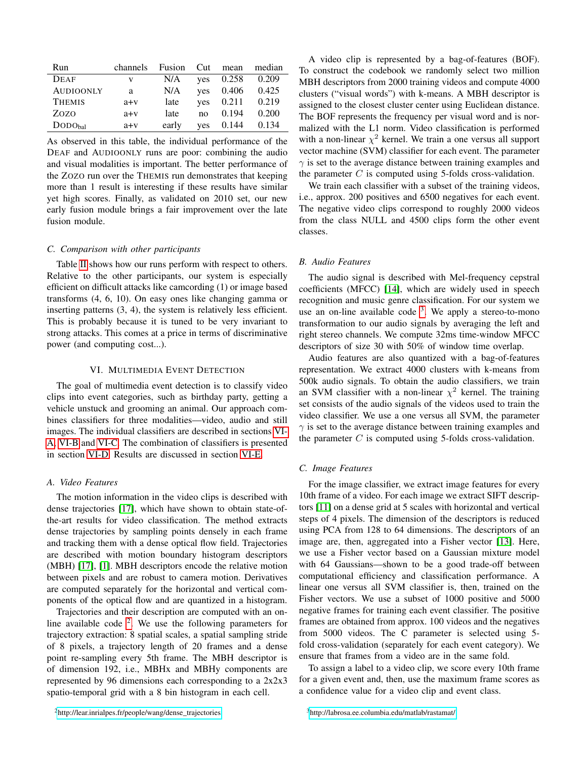| Run                        | channels | Fusion | Cut | mean  | median |
|----------------------------|----------|--------|-----|-------|--------|
| <b>DEAF</b>                | V        | N/A    | ves | 0.258 | 0.209  |
| <b>AUDIOONLY</b>           | a        | N/A    | ves | 0.406 | 0.425  |
| <b>THEMIS</b>              | $a+v$    | late   | ves | 0.211 | 0.219  |
| Zozo                       | $a+v$    | late   | no  | 0.194 | 0.200  |
| $\text{DODO}_{\text{hal}}$ | $a+v$    | early  | ves | 0.144 | 0.134  |

As observed in this table, the individual performance of the DEAF and AUDIOONLY runs are poor: combining the audio and visual modalities is important. The better performance of the ZOZO run over the THEMIS run demonstrates that keeping more than 1 result is interesting if these results have similar yet high scores. Finally, as validated on 2010 set, our new early fusion module brings a fair improvement over the late fusion module.

#### *C. Comparison with other participants*

Table [II](#page-7-2) shows how our runs perform with respect to others. Relative to the other participants, our system is especially efficient on difficult attacks like camcording (1) or image based transforms (4, 6, 10). On easy ones like changing gamma or inserting patterns (3, 4), the system is relatively less efficient. This is probably because it is tuned to be very invariant to strong attacks. This comes at a price in terms of discriminative power (and computing cost...).

# VI. MULTIMEDIA EVENT DETECTION

<span id="page-8-0"></span>The goal of multimedia event detection is to classify video clips into event categories, such as birthday party, getting a vehicle unstuck and grooming an animal. Our approach combines classifiers for three modalities—video, audio and still images. The individual classifiers are described in sections [VI-](#page-8-1)[A,](#page-8-1) [VI-B](#page-8-2) and [VI-C.](#page-8-3) The combination of classifiers is presented in section [VI-D.](#page-9-12) Results are discussed in section [VI-E.](#page-9-13)

# <span id="page-8-1"></span>*A. Video Features*

The motion information in the video clips is described with dense trajectories [\[17\]](#page-9-14), which have shown to obtain state-ofthe-art results for video classification. The method extracts dense trajectories by sampling points densely in each frame and tracking them with a dense optical flow field. Trajectories are described with motion boundary histogram descriptors (MBH) [\[17\]](#page-9-14), [\[1\]](#page-9-15). MBH descriptors encode the relative motion between pixels and are robust to camera motion. Derivatives are computed separately for the horizontal and vertical components of the optical flow and are quantized in a histogram.

<span id="page-8-4"></span>Trajectories and their description are computed with an online available code  $2$ . We use the following parameters for trajectory extraction: 8 spatial scales, a spatial sampling stride of 8 pixels, a trajectory length of 20 frames and a dense point re-sampling every 5th frame. The MBH descriptor is of dimension 192, i.e., MBHx and MBHy components are represented by 96 dimensions each corresponding to a 2x2x3 spatio-temporal grid with a 8 bin histogram in each cell.

A video clip is represented by a bag-of-features (BOF). To construct the codebook we randomly select two million MBH descriptors from 2000 training videos and compute 4000 clusters ("visual words") with k-means. A MBH descriptor is assigned to the closest cluster center using Euclidean distance. The BOF represents the frequency per visual word and is normalized with the L1 norm. Video classification is performed with a non-linear  $\chi^2$  kernel. We train a one versus all support vector machine (SVM) classifier for each event. The parameter  $\gamma$  is set to the average distance between training examples and the parameter  $C$  is computed using 5-folds cross-validation.

We train each classifier with a subset of the training videos, i.e., approx. 200 positives and 6500 negatives for each event. The negative video clips correspond to roughly 2000 videos from the class NULL and 4500 clips form the other event classes.

# <span id="page-8-2"></span>*B. Audio Features*

The audio signal is described with Mel-frequency cepstral coefficients (MFCC) [\[14\]](#page-9-16), which are widely used in speech recognition and music genre classification. For our system we use an on-line available code  $3$ . We apply a stereo-to-mono transformation to our audio signals by averaging the left and right stereo channels. We compute 32ms time-window MFCC descriptors of size 30 with 50% of window time overlap.

Audio features are also quantized with a bag-of-features representation. We extract 4000 clusters with k-means from 500k audio signals. To obtain the audio classifiers, we train an SVM classifier with a non-linear  $\chi^2$  kernel. The training set consists of the audio signals of the videos used to train the video classifier. We use a one versus all SVM, the parameter  $\gamma$  is set to the average distance between training examples and the parameter  $C$  is computed using 5-folds cross-validation.

# <span id="page-8-3"></span>*C. Image Features*

For the image classifier, we extract image features for every 10th frame of a video. For each image we extract SIFT descriptors [\[11\]](#page-9-17) on a dense grid at 5 scales with horizontal and vertical steps of 4 pixels. The dimension of the descriptors is reduced using PCA from 128 to 64 dimensions. The descriptors of an image are, then, aggregated into a Fisher vector [\[13\]](#page-9-18). Here, we use a Fisher vector based on a Gaussian mixture model with 64 Gaussians—shown to be a good trade-off between computational efficiency and classification performance. A linear one versus all SVM classifier is, then, trained on the Fisher vectors. We use a subset of 1000 positive and 5000 negative frames for training each event classifier. The positive frames are obtained from approx. 100 videos and the negatives from 5000 videos. The C parameter is selected using 5 fold cross-validation (separately for each event category). We ensure that frames from a video are in the same fold.

<span id="page-8-5"></span>To assign a label to a video clip, we score every 10th frame for a given event and, then, use the maximum frame scores as a confidence value for a video clip and event class.